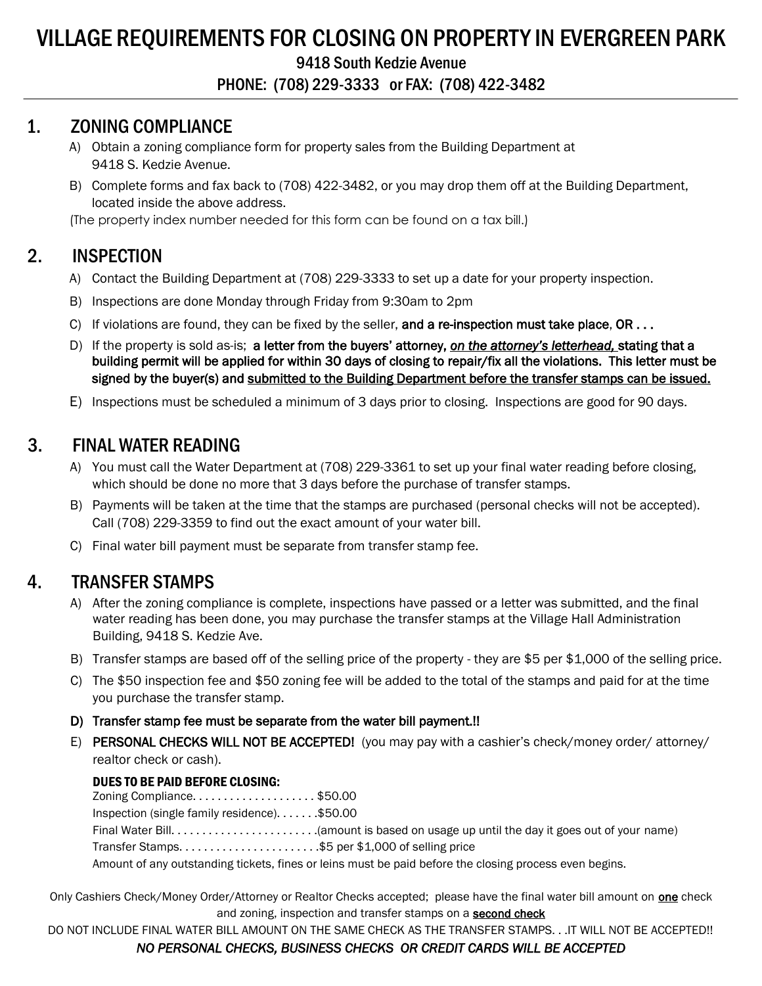# VILLAGE REQUIREMENTS FOR CLOSING ON PROPERTY IN EVERGREEN PARK

9418 South Kedzie Avenue

PHONE: (708) 229-3333 or FAX: (708) 422-3482

### 1. ZONING COMPLIANCE

- A) Obtain a zoning compliance form for property sales from the Building Department at 9418 S. Kedzie Avenue.
- B) Complete forms and fax back to (708) 422-3482, or you may drop them off at the Building Department, located inside the above address.

(The property index number needed for this form can be found on a tax bill.)

## 2. INSPECTION

- A) Contact the Building Department at (708) 229-3333 to set up a date for your property inspection.
- B) Inspections are done Monday through Friday from 9:30am to 2pm
- C) If violations are found, they can be fixed by the seller, and a re-inspection must take place,  $OR...$
- D) If the property is sold as-is; a letter from the buyers' attorney, *on the attorney's letterhead,* stating that a building permit will be applied for within 30 days of closing to repair/fix all the violations. This letter must be signed by the buyer(s) and submitted to the Building Department before the transfer stamps can be issued.
- E) Inspections must be scheduled a minimum of 3 days prior to closing. Inspections are good for 90 days.

## 3. FINAL WATER READING

- A) You must call the Water Department at (708) 229-3361 to set up your final water reading before closing, which should be done no more that 3 days before the purchase of transfer stamps.
- B) Payments will be taken at the time that the stamps are purchased (personal checks will not be accepted). Call (708) 229-3359 to find out the exact amount of your water bill.
- C) Final water bill payment must be separate from transfer stamp fee.

### 4. TRANSFER STAMPS

- A) After the zoning compliance is complete, inspections have passed or a letter was submitted, and the final water reading has been done, you may purchase the transfer stamps at the Village Hall Administration Building, 9418 S. Kedzie Ave.
- B) Transfer stamps are based off of the selling price of the property they are \$5 per \$1,000 of the selling price.
- C) The \$50 inspection fee and \$50 zoning fee will be added to the total of the stamps and paid for at the time you purchase the transfer stamp.
- D) Transfer stamp fee must be separate from the water bill payment.!!
- E) PERSONAL CHECKS WILL NOT BE ACCEPTED! (you may pay with a cashier's check/money order/ attorney/ realtor check or cash).

#### DUES TO BE PAID BEFORE CLOSING:

Zoning Compliance. . . . . . . . . . . . . . . . . . . . \$50.00 Inspection (single family residence). . . . . . . \$50.00 Final Water Bill. . . . . . . . . . . . . . . . . . . . . . . .(amount is based on usage up until the day it goes out of your name) Transfer Stamps. . . . . . . . . . . . . . . . . . . . . . .\$5 per \$1,000 of selling price Amount of any outstanding tickets, fines or leins must be paid before the closing process even begins.

Only Cashiers Check/Money Order/Attorney or Realtor Checks accepted; please have the final water bill amount on **one** check and zoning, inspection and transfer stamps on a **second check** 

DO NOT INCLUDE FINAL WATER BILL AMOUNT ON THE SAME CHECK AS THE TRANSFER STAMPS. . .IT WILL NOT BE ACCEPTED!!

### *NO PERSONAL CHECKS, BUSINESS CHECKS OR CREDIT CARDS WILL BE ACCEPTED*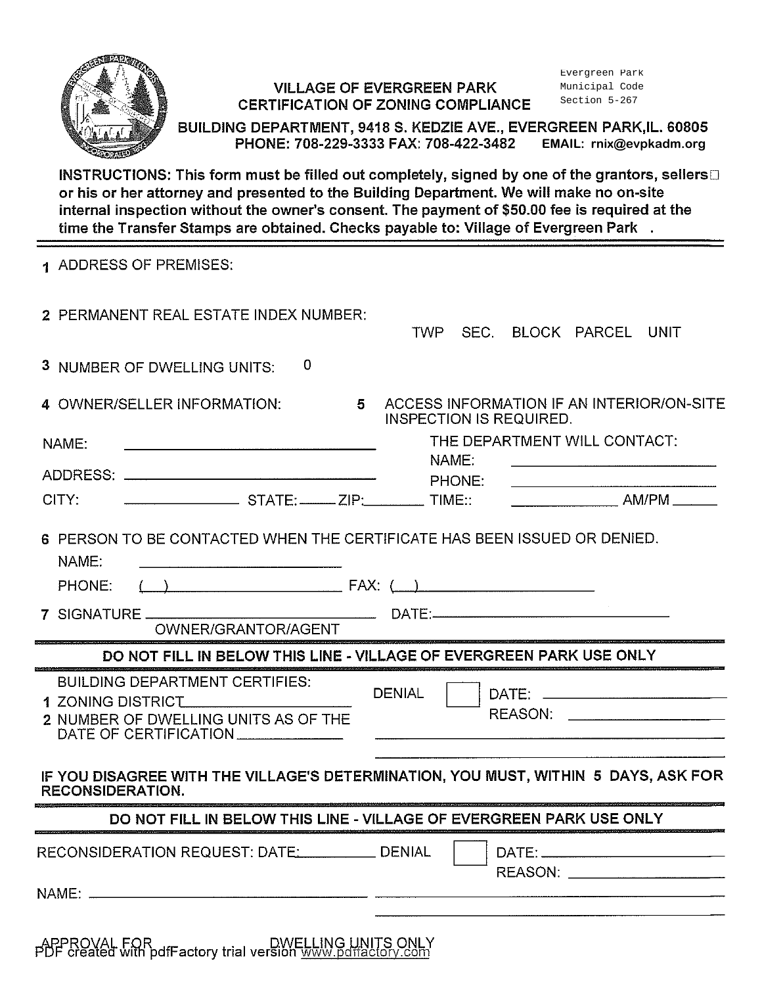

### **VILLAGE OF EVERGREEN PARK CERTIFICATION OF ZONING COMPLIANCE**

Evergreen Park Municipal Code Section 5-267

BUILDING DEPARTMENT, 9418 S. KEDZIE AVE., EVERGREEN PARK, IL. 60805 PHONE: 708-229-3333 FAX: 708-422-3482 EMAIL: rnix@evpkadm.org

INSTRUCTIONS: This form must be filled out completely, signed by one of the grantors, sellers or his or her attorney and presented to the Building Department. We will make no on-site internal inspection without the owner's consent. The payment of \$50.00 fee is required at the time the Transfer Stamps are obtained. Checks payable to: Village of Evergreen Park .

| 1 ADDRESS OF PREMISES:                                                                                    |                                                                                    |
|-----------------------------------------------------------------------------------------------------------|------------------------------------------------------------------------------------|
| 2 PERMANENT REAL ESTATE INDEX NUMBER:                                                                     | SEC. BLOCK PARCEL UNIT<br><b>TWP</b>                                               |
| 0<br>3 NUMBER OF DWELLING UNITS:                                                                          |                                                                                    |
| 4 OWNER/SELLER INFORMATION:<br>5.                                                                         | ACCESS INFORMATION IF AN INTERIOR/ON-SITE<br><b>INSPECTION IS REQUIRED.</b>        |
| NAME:                                                                                                     | THE DEPARTMENT WILL CONTACT:                                                       |
|                                                                                                           | NAME:                                                                              |
| CITY:                                                                                                     | PHONE:                                                                             |
|                                                                                                           |                                                                                    |
| 6 PERSON TO BE CONTACTED WHEN THE CERTIFICATE HAS BEEN ISSUED OR DENIED.<br>NAME:                         |                                                                                    |
| $(\ )$<br>PHONE:                                                                                          |                                                                                    |
| OWNER/GRANTOR/AGENT                                                                                       |                                                                                    |
|                                                                                                           | DO NOT FILL IN BELOW THIS LINE - VILLAGE OF EVERGREEN PARK USE ONLY                |
| <b>BUILDING DEPARTMENT CERTIFIES:</b><br><b>1 ZONING DISTRICT</b><br>2 NUMBER OF DWELLING UNITS AS OF THE | <b>DENIAL</b><br>REASON:                                                           |
| <b>RECONSIDERATION.</b>                                                                                   | IF YOU DISAGREE WITH THE VILLAGE'S DETERMINATION, YOU MUST, WITHIN 5 DAYS, ASK FOR |
|                                                                                                           | DO NOT FILL IN BELOW THIS LINE - VILLAGE OF EVERGREEN PARK USE ONLY                |
| RECONSIDERATION REQUEST: DATE: DENIAL                                                                     | REASON: ________________________                                                   |
|                                                                                                           |                                                                                    |

APPROVAL FOR DWELLING UNITS ONLY<br>PDF created with pdfFactory trial version www.pdffactory.com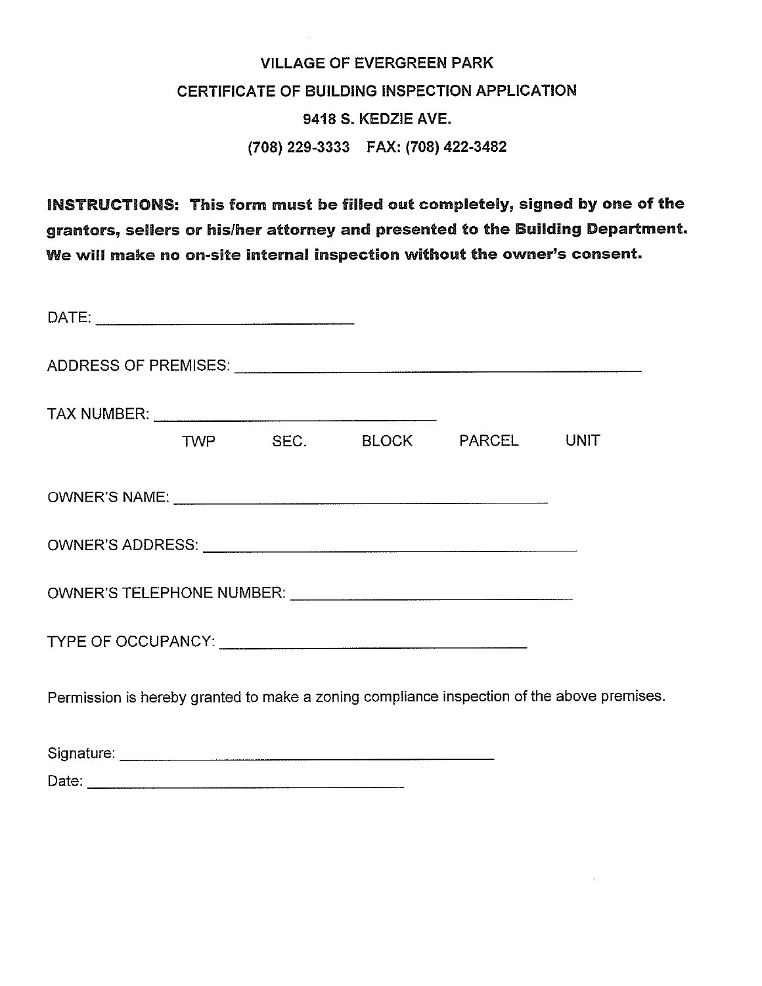# **VILLAGE OF EVERGREEN PARK** CERTIFICATE OF BUILDING INSPECTION APPLICATION 9418 S. KEDZIE AVE. (708) 229-3333 FAX: (708) 422-3482

INSTRUCTIONS: This form must be filled out completely, signed by one of the grantors, sellers or his/her attorney and presented to the Building Department. We will make no on-site internal inspection without the owner's consent.

|  |  | TWP SEC. BLOCK PARCEL UNIT                                                                                                                                                                                                     |                                                                                            |
|--|--|--------------------------------------------------------------------------------------------------------------------------------------------------------------------------------------------------------------------------------|--------------------------------------------------------------------------------------------|
|  |  |                                                                                                                                                                                                                                |                                                                                            |
|  |  |                                                                                                                                                                                                                                |                                                                                            |
|  |  | OWNER'S TELEPHONE NUMBER: University of the contract of the contract of the contract of the contract of the contract of the contract of the contract of the contract of the contract of the contract of the contract of the co |                                                                                            |
|  |  |                                                                                                                                                                                                                                |                                                                                            |
|  |  |                                                                                                                                                                                                                                | Permission is hereby granted to make a zoning compliance inspection of the above premises. |
|  |  |                                                                                                                                                                                                                                |                                                                                            |

Date: